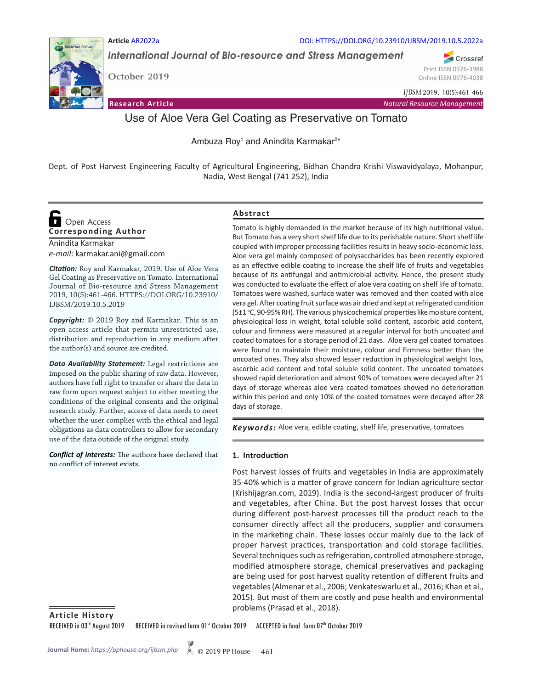

**Article** AR2022a DOI: HTTPS://DOI.ORG/10.23910/IJBSM/2019.10.5.2022a

*International Journal of Bio-resource and Stress Management*

**October 2019**

Crossref Print ISSN 0976-3988 Online ISSN 0976-4038

*IJBSM* 2019, 10(5):461-466

**Research Article** *Natural Resource Management*

# Use of Aloe Vera Gel Coating as Preservative on Tomato

Ambuza Roy<sup>1</sup> and Anindita Karmakar<sup>2\*</sup>

Dept. of Post Harvest Engineering Faculty of Agricultural Engineering, Bidhan Chandra Krishi Viswavidyalaya, Mohanpur, Nadia, West Bengal (741 252), India

# **Corresponding Author**  Open Access

Anindita Karmakar *e-mail*: karmakar.ani@gmail.com

*Citation:* Roy and Karmakar, 2019. Use of Aloe Vera Gel Coating as Preservative on Tomato. International Journal of Bio-resource and Stress Management 2019, 10(5):461-466. HTTPS://DOI.ORG/10.23910/ IJBSM/2019.10.5.2019

*Copyright:* © 2019 Roy and Karmakar. This is an open access article that permits unrestricted use, distribution and reproduction in any medium after the author(s) and source are credited.

*Data Availability Statement:* Legal restrictions are imposed on the public sharing of raw data. However, authors have full right to transfer or share the data in raw form upon request subject to either meeting the conditions of the original consents and the original research study. Further, access of data needs to meet whether the user complies with the ethical and legal obligations as data controllers to allow for secondary use of the data outside of the original study.

*Conflict of interests:* The authors have declared that no conflict of interest exists.

## **Abstract**

Tomato is highly demanded in the market because of its high nutritional value. But Tomato has a very short shelf life due to its perishable nature. Short shelf life coupled with improper processing facilities results in heavy socio-economic loss. Aloe vera gel mainly composed of polysaccharides has been recently explored as an effective edible coating to increase the shelf life of fruits and vegetables because of its antifungal and antimicrobial activity. Hence, the present study was conducted to evaluate the effect of aloe vera coating on shelf life of tomato. Tomatoes were washed, surface water was removed and then coated with aloe vera gel. After coating fruit surface was air dried and kept at refrigerated condition (5±1 °C, 90-95% RH). The various physicochemical properties like moisture content, physiological loss in weight, total soluble solid content, ascorbic acid content, colour and firmness were measured at a regular interval for both uncoated and coated tomatoes for a storage period of 21 days. Aloe vera gel coated tomatoes were found to maintain their moisture, colour and firmness better than the uncoated ones. They also showed lesser reduction in physiological weight loss, ascorbic acid content and total soluble solid content. The uncoated tomatoes showed rapid deterioration and almost 90% of tomatoes were decayed after 21 days of storage whereas aloe vera coated tomatoes showed no deterioration within this period and only 10% of the coated tomatoes were decayed after 28 days of storage.

*Keywords:* Aloe vera, edible coating, shelf life, preservative, tomatoes

## **1. Introduction**

Post harvest losses of fruits and vegetables in India are approximately 35-40% which is a matter of grave concern for Indian agriculture sector (Krishijagran.com, 2019). India is the second-largest producer of fruits and vegetables, after China. But the post harvest losses that occur during different post-harvest processes till the product reach to the consumer directly affect all the producers, supplier and consumers in the marketing chain. These losses occur mainly due to the lack of proper harvest practices, transportation and cold storage facilities. Several techniques such as refrigeration, controlled atmosphere storage, modified atmosphere storage, chemical preservatives and packaging are being used for post harvest quality retention of different fruits and vegetables (Almenar et al., 2006; Venkateswarlu et al., 2016; Khan et al., 2015). But most of them are costly and pose health and environmental problems (Prasad et al., 2018).

**Article History**

RECEIVED in 03rd August 2019 RECEIVED in revised form 01<sup>st</sup> October 2019 ACCEPTED in final form 07<sup>th</sup> October 2019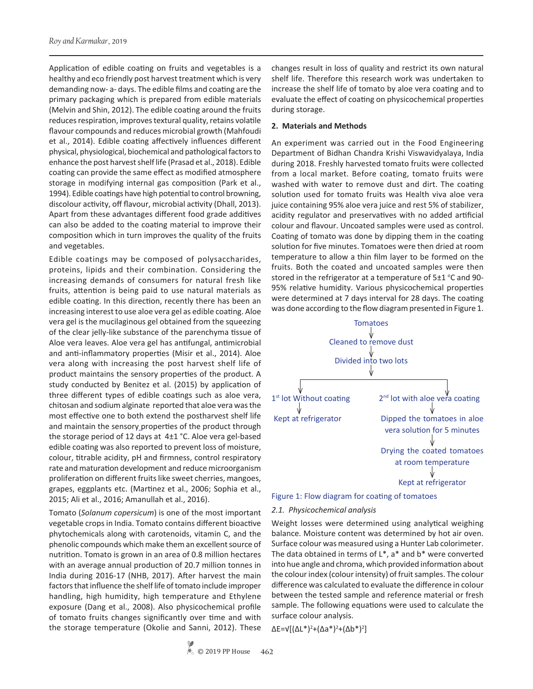Application of edible coating on fruits and vegetables is a healthy and eco friendly post harvest treatment which is very demanding now- a- days. The edible films and coating are the primary packaging which is prepared from edible materials (Melvin and Shin, 2012). The edible coating around the fruits reduces respiration, improves textural quality, retains volatile flavour compounds and reduces microbial growth (Mahfoudi et al., 2014). Edible coating affectively influences different physical, physiological, biochemical and pathological factors to enhance the post harvest shelf life (Prasad et al., 2018). Edible coating can provide the same effect as modified atmosphere storage in modifying internal gas composition (Park et al., 1994). Edible coatings have high potential to control browning, discolour activity, off flavour, microbial activity (Dhall, 2013). Apart from these advantages different food grade additives can also be added to the coating material to improve their composition which in turn improves the quality of the fruits and vegetables.

Edible coatings may be composed of polysaccharides, proteins, lipids and their combination. Considering the increasing demands of consumers for natural fresh like fruits, attention is being paid to use natural materials as edible coating. In this direction, recently there has been an increasing interest to use aloe vera gel as edible coating. Aloe vera gel is the mucilaginous gel obtained from the squeezing of the clear jelly-like substance of the parenchyma tissue of Aloe vera leaves. Aloe vera gel has antifungal, antimicrobial and anti-inflammatory properties (Misir et al., 2014). Aloe vera along with increasing the post harvest shelf life of product maintains the sensory properties of the product. A study conducted by Benitez et al. (2015) by application of three different types of edible coatings such as aloe vera, chitosan and sodium alginate reported that aloe vera was the most effective one to both extend the postharvest shelf life and maintain the sensory properties of the product through the storage period of 12 days at 4±1 °C. Aloe vera gel-based edible coating was also reported to prevent loss of moisture, colour, titrable acidity, pH and firmness, control respiratory rate and maturation development and reduce microorganism proliferation on different fruits like sweet cherries, mangoes, grapes, eggplants etc. (Martinez et al., 2006; Sophia et al., 2015; Ali et al., 2016; Amanullah et al., 2016).

Tomato (*Solanum copersicum*) is one of the most important vegetable crops in India. Tomato contains different bioactive phytochemicals along with carotenoids, vitamin C, and the phenolic compounds which make them an excellent source of nutrition. Tomato is grown in an area of 0.8 million hectares with an average annual production of 20.7 million tonnes in India during 2016-17 (NHB, 2017). After harvest the main factors that influence the shelf life of tomato include improper handling, high humidity, high temperature and Ethylene exposure (Dang et al., 2008). Also physicochemical profile of tomato fruits changes significantly over time and with the storage temperature (Okolie and Sanni, 2012). These

changes result in loss of quality and restrict its own natural shelf life. Therefore this research work was undertaken to increase the shelf life of tomato by aloe vera coating and to evaluate the effect of coating on physicochemical properties during storage.

### **2. Materials and Methods**

An experiment was carried out in the Food Engineering Department of Bidhan Chandra Krishi Viswavidyalaya, India during 2018. Freshly harvested tomato fruits were collected from a local market. Before coating, tomato fruits were washed with water to remove dust and dirt. The coating solution used for tomato fruits was Health viva aloe vera juice containing 95% aloe vera juice and rest 5% of stabilizer, acidity regulator and preservatives with no added artificial colour and flavour. Uncoated samples were used as control. Coating of tomato was done by dipping them in the coating solution for five minutes. Tomatoes were then dried at room temperature to allow a thin film layer to be formed on the fruits. Both the coated and uncoated samples were then stored in the refrigerator at a temperature of  $5\pm 1$  °C and 90-95% relative humidity. Various physicochemical properties were determined at 7 days interval for 28 days. The coating was done according to the flow diagram presented in Figure 1.



## *2.1. Physicochemical analysis*

Weight losses were determined using analytical weighing balance. Moisture content was determined by hot air oven. Surface colour was measured using a Hunter Lab colorimeter. The data obtained in terms of  $L^*$ , a\* and  $b^*$  were converted into hue angle and chroma, which provided information about the colour index (colour intensity) of fruit samples. The colour difference was calculated to evaluate the difference in colour between the tested sample and reference material or fresh sample. The following equations were used to calculate the surface colour analysis.

$$
\Delta E = V[(\Delta L^*)^2 + (\Delta a^*)^2 + (\Delta b^*)^2]
$$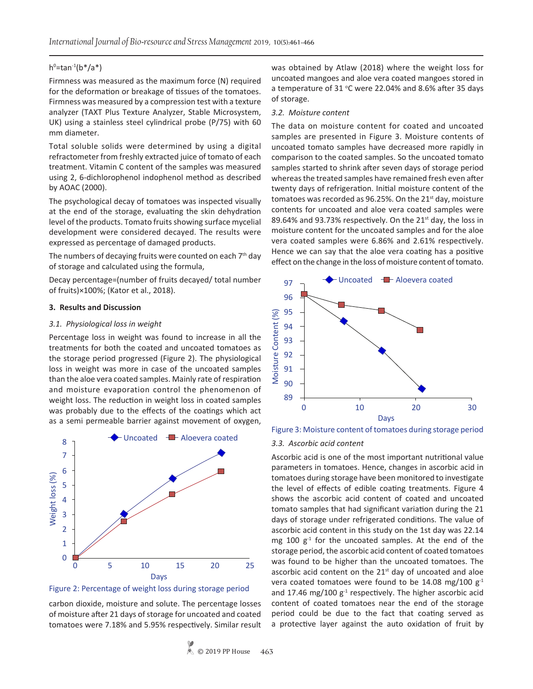## $h^0$ =tan<sup>-1</sup>(b<sup>\*</sup>/a<sup>\*</sup>)

Firmness was measured as the maximum force (N) required for the deformation or breakage of tissues of the tomatoes. Firmness was measured by a compression test with a texture analyzer (TAXT Plus Texture Analyzer, Stable Microsystem, UK) using a stainless steel cylindrical probe (P/75) with 60 mm diameter.

Total soluble solids were determined by using a digital refractometer from freshly extracted juice of tomato of each treatment. Vitamin C content of the samples was measured using 2, 6-dichlorophenol indophenol method as described by AOAC (2000).

The psychological decay of tomatoes was inspected visually at the end of the storage, evaluating the skin dehydration level of the products. Tomato fruits showing surface mycelial development were considered decayed. The results were expressed as percentage of damaged products.

The numbers of decaying fruits were counted on each  $7<sup>th</sup>$  day of storage and calculated using the formula,

Decay percentage=(number of fruits decayed/ total number of fruits)×100%; (Kator et al., 2018).

#### **3. Results and Discussion**

#### *3.1. Physiological loss in weight*

Percentage loss in weight was found to increase in all the treatments for both the coated and uncoated tomatoes as the storage period progressed (Figure 2). The physiological loss in weight was more in case of the uncoated samples than the aloe vera coated samples. Mainly rate of respiration and moisture evaporation control the phenomenon of weight loss. The reduction in weight loss in coated samples was probably due to the effects of the coatings which act as a semi permeable barrier against movement of oxygen,





carbon dioxide, moisture and solute. The percentage losses of moisture after 21 days of storage for uncoated and coated tomatoes were 7.18% and 5.95% respectively. Similar result was obtained by Atlaw (2018) where the weight loss for uncoated mangoes and aloe vera coated mangoes stored in a temperature of 31  $\degree$ C were 22.04% and 8.6% after 35 days of storage.

#### *3.2. Moisture content*

The data on moisture content for coated and uncoated samples are presented in Figure 3. Moisture contents of uncoated tomato samples have decreased more rapidly in comparison to the coated samples. So the uncoated tomato samples started to shrink after seven days of storage period whereas the treated samples have remained fresh even after twenty days of refrigeration. Initial moisture content of the tomatoes was recorded as 96.25%. On the  $21<sup>st</sup>$  day, moisture contents for uncoated and aloe vera coated samples were 89.64% and 93.73% respectively. On the 21<sup>st</sup> day, the loss in moisture content for the uncoated samples and for the aloe vera coated samples were 6.86% and 2.61% respectively. Hence we can say that the aloe vera coating has a positive effect on the change in the loss of moisture content of tomato.





## *3.3. Ascorbic acid content*

Ascorbic acid is one of the most important nutritional value parameters in tomatoes. Hence, changes in ascorbic acid in tomatoes during storage have been monitored to investigate the level of effects of edible coating treatments. Figure 4 shows the ascorbic acid content of coated and uncoated tomato samples that had significant variation during the 21 days of storage under refrigerated conditions. The value of ascorbic acid content in this study on the 1st day was 22.14 mg 100 g<sup>-1</sup> for the uncoated samples. At the end of the storage period, the ascorbic acid content of coated tomatoes was found to be higher than the uncoated tomatoes. The ascorbic acid content on the  $21<sup>st</sup>$  day of uncoated and aloe vera coated tomatoes were found to be 14.08 mg/100  $g^{-1}$ and 17.46 mg/100  $g^{-1}$  respectively. The higher ascorbic acid content of coated tomatoes near the end of the storage period could be due to the fact that coating served as a protective layer against the auto oxidation of fruit by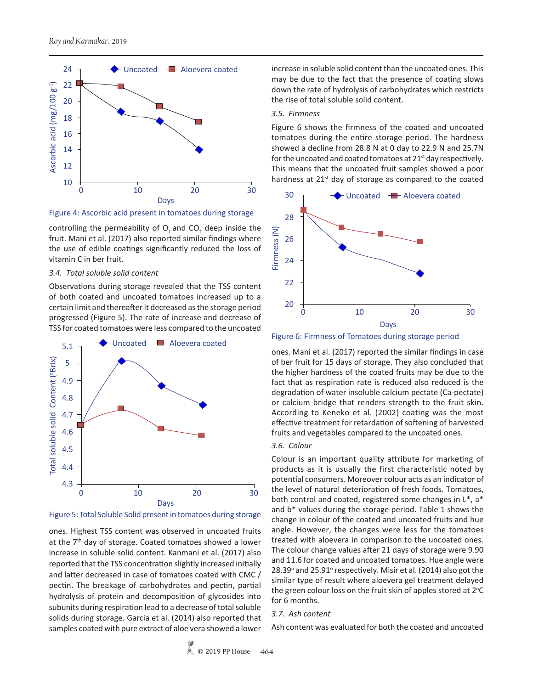

Figure 4: Ascorbic acid present in tomatoes during storage

controlling the permeability of  $O_2$  and  $CO_2$  deep inside the fruit. Mani et al. (2017) also reported similar findings where the use of edible coatings significantly reduced the loss of vitamin C in ber fruit.

## *3.4. Total soluble solid content*

Observations during storage revealed that the TSS content of both coated and uncoated tomatoes increased up to a certain limit and thereafter it decreased as the storage period progressed (Figure 5). The rate of increase and decrease of





ones. Highest TSS content was observed in uncoated fruits at the  $7<sup>th</sup>$  day of storage. Coated tomatoes showed a lower increase in soluble solid content. Kanmani et al. (2017) also reported that the TSS concentration slightly increased initially and latter decreased in case of tomatoes coated with CMC / pectin. The breakage of carbohydrates and pectin, partial hydrolysis of protein and decomposition of glycosides into subunits during respiration lead to a decrease of total soluble solids during storage. Garcia et al. (2014) also reported that samples coated with pure extract of aloe vera showed a lower increase in soluble solid content than the uncoated ones. This may be due to the fact that the presence of coating slows down the rate of hydrolysis of carbohydrates which restricts the rise of total soluble solid content.

## *3.5. Firmness*

Figure 6 shows the firmness of the coated and uncoated tomatoes during the entire storage period. The hardness showed a decline from 28.8 N at 0 day to 22.9 N and 25.7N for the uncoated and coated tomatoes at  $21<sup>st</sup>$  day respectively. This means that the uncoated fruit samples showed a poor hardness at  $21<sup>st</sup>$  day of storage as compared to the coated



Figure 6: Firmness of Tomatoes during storage period

ones. Mani et al. (2017) reported the similar findings in case of ber fruit for 15 days of storage. They also concluded that the higher hardness of the coated fruits may be due to the fact that as respiration rate is reduced also reduced is the degradation of water insoluble calcium pectate (Ca-pectate) or calcium bridge that renders strength to the fruit skin. According to Keneko et al. (2002) coating was the most effective treatment for retardation of softening of harvested fruits and vegetables compared to the uncoated ones.

## *3.6. Colour*

Colour is an important quality attribute for marketing of products as it is usually the first characteristic noted by potential consumers. Moreover colour acts as an indicator of the level of natural deterioration of fresh foods. Tomatoes, both control and coated, registered some changes in L\*, a\* and b\* values during the storage period. Table 1 shows the change in colour of the coated and uncoated fruits and hue angle. However, the changes were less for the tomatoes treated with aloevera in comparison to the uncoated ones. The colour change values after 21 days of storage were 9.90 and 11.6 for coated and uncoated tomatoes. Hue angle were 28.39° and 25.91° respectively. Misir et al. (2014) also got the similar type of result where aloevera gel treatment delayed the green colour loss on the fruit skin of apples stored at  $2^{\circ}C$ for 6 months.

## *3.7. Ash content*

Ash content was evaluated for both the coated and uncoated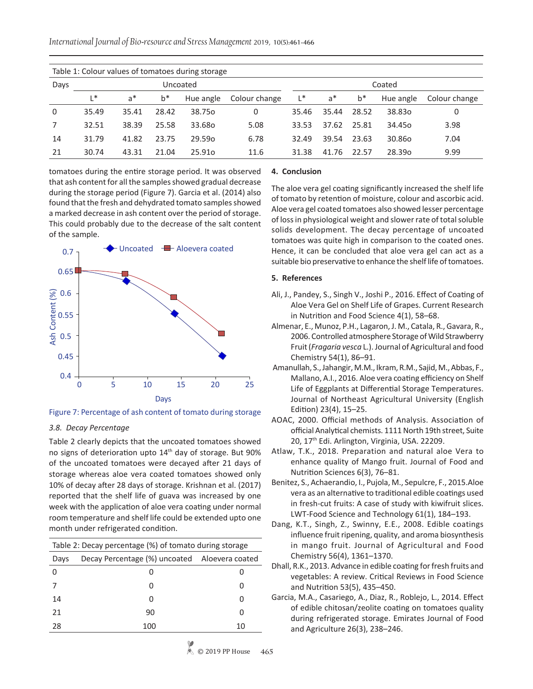*International Journal of Bio-resource and Stress Management* 2019, 10(5):461-466

| Table 1: Colour values of tomatoes during storage |          |       |       |           |               |        |       |       |           |               |
|---------------------------------------------------|----------|-------|-------|-----------|---------------|--------|-------|-------|-----------|---------------|
| Days                                              | Uncoated |       |       |           |               | Coated |       |       |           |               |
|                                                   | L*       | $a^*$ | $b^*$ | Hue angle | Colour change | L*     | $a^*$ | $b^*$ | Hue angle | Colour change |
| 0                                                 | 35.49    | 35.41 | 28.42 | 38.750    | 0             | 35.46  | 35.44 | 28.52 | 38.830    | 0             |
|                                                   | 32.51    | 38.39 | 25.58 | 33.680    | 5.08          | 33.53  | 37.62 | 25.81 | 34.450    | 3.98          |
| 14                                                | 31.79    | 41.82 | 23.75 | 29.590    | 6.78          | 32.49  | 39.54 | 23.63 | 30.860    | 7.04          |
| 21                                                | 30.74    | 43.31 | 21.04 | 25.910    | 11.6          | 31.38  | 41.76 | 22.57 | 28.390    | 9.99          |

tomatoes during the entire storage period. It was observed that ash content for all the samples showed gradual decrease during the storage period (Figure 7). Garcia et al. (2014) also found that the fresh and dehydrated tomato samples showed a marked decrease in ash content over the period of storage. This could probably due to the decrease of the salt content of the sample.



## Figure 7: Percentage of ash content of tomato during storage

## *3.8. Decay Percentage*

Table 2 clearly depicts that the uncoated tomatoes showed no signs of deterioration upto 14<sup>th</sup> day of storage. But 90% of the uncoated tomatoes were decayed after 21 days of storage whereas aloe vera coated tomatoes showed only 10% of decay after 28 days of storage. Krishnan et al. (2017) reported that the shelf life of guava was increased by one week with the application of aloe vera coating under normal room temperature and shelf life could be extended upto one month under refrigerated condition.

| Table 2: Decay percentage (%) of tomato during storage |                                               |    |  |  |  |  |  |
|--------------------------------------------------------|-----------------------------------------------|----|--|--|--|--|--|
| Days                                                   | Decay Percentage (%) uncoated Aloevera coated |    |  |  |  |  |  |
|                                                        |                                               |    |  |  |  |  |  |
|                                                        |                                               |    |  |  |  |  |  |
| 14                                                     |                                               |    |  |  |  |  |  |
| 21                                                     | 90                                            |    |  |  |  |  |  |
| 28                                                     | 100                                           | 10 |  |  |  |  |  |
|                                                        |                                               |    |  |  |  |  |  |

### **4. Conclusion**

The aloe vera gel coating significantly increased the shelf life of tomato by retention of moisture, colour and ascorbic acid. Aloe vera gel coated tomatoes also showed lesser percentage of loss in physiological weight and slower rate of total soluble solids development. The decay percentage of uncoated tomatoes was quite high in comparison to the coated ones. Hence, it can be concluded that aloe vera gel can act as a suitable bio preservative to enhance the shelf life of tomatoes.

## **5. References**

- Ali, J., Pandey, S., Singh V., Joshi P., 2016. Effect of Coating of Aloe Vera Gel on Shelf Life of Grapes. Current Research in Nutrition and Food Science 4(1), 58–68.
- Almenar, E., Munoz, P.H., Lagaron, J. M., Catala, R., Gavara, R., 2006. Controlled atmosphere Storage of Wild Strawberry Fruit (*Fragaria vesca* L.). Journal of Agricultural and food Chemistry 54(1), 86–91.
- Amanullah, S., Jahangir, M.M., Ikram, R.M., Sajid, M., Abbas, F., Mallano, A.I., 2016. Aloe vera coating efficiency on Shelf Life of Eggplants at Differential Storage Temperatures. Journal of Northeast Agricultural University (English Edition) 23(4), 15–25.
- AOAC, 2000. Official methods of Analysis. Association of official Analytical chemists. 1111 North 19th street, Suite 20, 17<sup>th</sup> Edi. Arlington, Virginia, USA. 22209.
- Atlaw, T.K., 2018. Preparation and natural aloe Vera to enhance quality of Mango fruit. Journal of Food and Nutrition Sciences 6(3), 76–81.
- Benitez, S., Achaerandio, I., Pujola, M., Sepulcre, F., 2015.Aloe vera as an alternative to traditional edible coatings used in fresh-cut fruits: A case of study with kiwifruit slices. LWT-Food Science and Technology 61(1), 184–193.
- Dang, K.T., Singh, Z., Swinny, E.E., 2008. Edible coatings influence fruit ripening, quality, and aroma biosynthesis in mango fruit. Journal of Agricultural and Food Chemistry 56(4), 1361–1370.
- Dhall, R.K., 2013. Advance in edible coating for fresh fruits and vegetables: A review. Critical Reviews in Food Science and Nutrition 53(5), 435–450.
- Garcia, M.A., Casariego, A., Diaz, R., Roblejo, L., 2014. Effect of edible chitosan/zeolite coating on tomatoes quality during refrigerated storage. Emirates Journal of Food and Agriculture 26(3), 238–246.